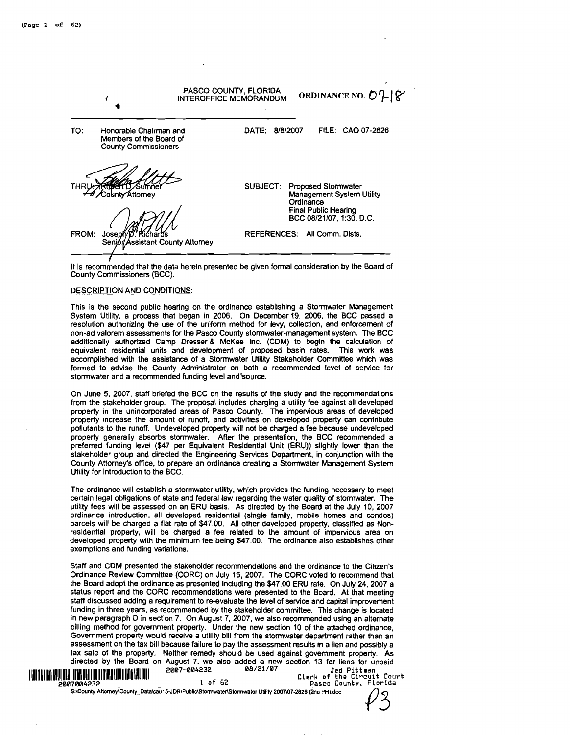|       | 1                                                                                | PASCO COUNTY, FLORIDA<br>ORDINANCE NO. $O1$ $\vert \zeta$<br>INTEROFFICE MEMORANDUM                                                               |
|-------|----------------------------------------------------------------------------------|---------------------------------------------------------------------------------------------------------------------------------------------------|
| TO:   | Honorable Chairman and<br>Members of the Board of<br><b>County Commissioners</b> | 8/8/2007<br>FILE: CAO 07-2826<br>DATE:                                                                                                            |
| THRl  | obntv⁄Attornev                                                                   | <b>Proposed Stomwater</b><br><b>SUBJECT:</b><br>Management System Utility<br>Ordinance<br><b>Final Public Hearing</b><br>BCC 08/21/07, 1:30, D.C. |
| FROM: | Joseph<br>Senior/Assistant County Attorney                                       | <b>REFERENCES:</b><br>All Comm. Dists.                                                                                                            |

It is recommended that the data herein presented be given formal consideration by the Board of County Commissioners (BCC).

#### DESCRIPTION AND CONDITIONS:

This is the second public hearing on the ordinance establishing a Stormwater Management System Utility, a process that began in **2006.** On December **19, 2006,** the BCC passed a resolution authorlzing the use of the uniform method for levy, collection, and enforcement of non-ad valorem assessments for the Pasco County stomwater-management system. The BCC additionally authorized Camp Dresser & McKee Inc. (CDM) to begin the calculation of equivalent residential units and development of proposed basin rates. This work was accomplished with the assistance of a Stormwater Utility Stakeholder Committee which was formed to advise the County Administrator on both a recommended level of service for stormwater and a recommended funding level and'source.

On June 5, **2007,** staff briefed the BCC on the results of the study and the recommendations from the stakeholder group. The proposal includes charging a utility fee against all developed property in the unincorporated areas of Pasco County. The impervious areas of developed property increase the amount of runoff, and activities on developed property can contribute pollutants to the runoff. Undeveloped property will not be charged a fee because undeveloped property generally absorbs stormwater. After the presentation, the BCC recommended a preferred funding level **(\$47** per Equivalent Residential Unit (ERU)) slightly lower than the stakeholder group and directed the Engineering Services Department, in conjunction with the County Attorney's office, to prepare an ordinance creating a Stormwater Management System Utility for introduction to the BCC.

The ordinance will establish a stormwater utility, which provides the fundlng necessary to meet certain legal obligations of state and federal law regarding the water quality of stormwater. The utility fees will be assessed on an ERU basis. As directed by the Board at the July **10, 2007**  ordinance introduction, all developed residential (single family, mobile homes and condos) parcels will be charged a flat rate of **\$47.00.** All other developed property, classified as Nonresidential property, will be charged a fee related to the amount of impervious area on developed property with the minimum fee being **\$47.00.** The ordinance also establishes other exemptions and funding variations.

Staff and CDM presented the stakeholder recornmendatlons and the ordinance to the Citizen's Ordinance Review Committee (CORC) on July **16, 2007.** The CORC voted to recommend that the Board adopt the ordinance as presented Including the **\$47.00** ERU rate. On July **24,2007** a status report and the CORC recommendations were presented to the Board. At that meeting staff discussed adding a requirement to re-evaluate the level of service and capital improvement funding in three years, as recommended by the stakeholder committee. This change is located in new paragraph D in section **7.** On August **7, 2007,** we also recommended using an alternate billing method for government property. Under the new section **10** of the attached ordinance, Government property would recelve a utility bill from the stormwater department rather than an assessment on the tax bill because failure to pay the assessment results in a lien and possibly a tax sale of the property. Neither remedy should be used against government property. As directed by the Board on August **7,** we also added a new section **13** for liens for unpaid llllN Il11 lllll lllll Ill! lllll lllll llllllllll lllll llllllll **2007'004232 08/21 /07 Jed Pittaan Clerk of the Circuit Court 2007004232 1 of 62 Pasco County, Florida**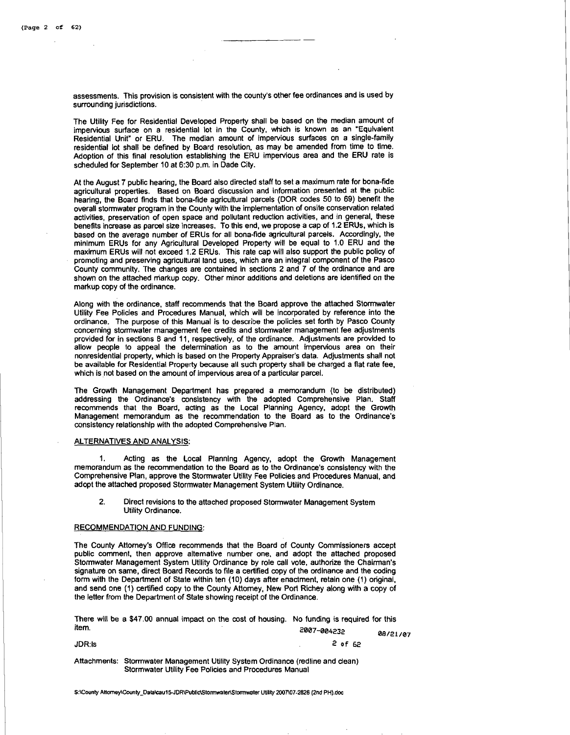assessments. This provision is consistent with the county's other fee ordinances and is used by surrounding jurisdictions.

The Utility Fee for Residential Developed Property shall be based on the median amount of impervious surface on a residential lot in the County, which is known as an 'Equivalent Residential Unit" or ERU. The median amount of impervious surfaces on a single-family residential lot shall be defined by Board resolution, as may be amended from time to time. Adoption of this final resolution establishing the ERU impervious area and the ERU rate is scheduled for September 10 at 6:30 p.m. in Dade City.

At the August 7 public hearing, the Board also directed staff to set a maximum rate for bona-fide agricultural properties. Based on Board discussion and information presented at the public hearing, the Board finds that bona-fide agricultural parcels (DOR codes 50 to 69) benefit the overall stormwater program in the County with the implementation of onsite conservation related activities, preservation of open space and pollutant reduction activities, and in general, these benefits increase as parcel size increases. To this end, we propose a cap of 1.2 ERUs, which is based on the average number of ERUs for all bona-fide agricultural parcels. Accordingly. the minlmum ERUs for any Agricultural Developed Property will be equal to 1.0 ERU and the maximum ERUs will not exceed 1.2 ERUs. This rate cap will also support the public policy of promoting and preserving agricultural land uses, which are an integral component of the Pasco County community. The changes are contained in sections 2 and 7 of the ordinance and are shown on the attached niarkup copy. Other minor additions and deletions are identified on the markup copy of the ordinance.

Along with the ordinance, staff recommends that the Board approve the attached Storrnwater Utility Fee Policies and Procedures Manual, which will be incorporated by reference into the ordinance. The purpose of this Manual is to describe the policies set forth by PaScO County concerning stormwater management fee credits and stormwater management fee adjustments provided for in sections **8** and 11, respectively, of the ordinance. Adjustments are provided to allow people to appeal the determination as to the amount impervious area on their nonresidential property, which is based on the Property Appraiser's data. Adjustments shall not be available for Residential Property because all such property shall be charged a flat rate fee, which is not based on the amount of impervious area of a particular parcel.

The Growth Management Department has prepared a memorandum (to be distributed) addressing the Ordinance's consistency with the adopted Comprehensive Plan. Staff recommends that the Board, acting as the Local Planning Agency, adopt the Growth Management memorandum as the recommendation to the Board as to the Ordinance's consistency relationship with the adopted Comprehensive Plan.

#### ALTERNATIVES AND ANALYSIS:

1. Acting as the Local Planning Agency, adopt the Growth Management memorandum as the recommendation to the Board as to the Ordinance's consistency with the Comprehensive Plan, approve the Stormwater Utility Fee Policies and Procedures Manual, and adopt the attached proposed Stormwater Management System Utility Ordinance.

2. Direct revisions to the attached proposed Stormwater Management System Utility Ordinance.

#### RECOMMENDATION AND FUNDING:

The County Attorney's Office recommends that the Board of County Commissioners accept public comment, then approve alternative number one, and adopt the attached proposed Stormwater Management System Utility Ordinance by role call vote, authorize the Chairman's signature on same, direct Board Records to file a certified copy of the ordinance and the coding form with the Department of State wlthin ten (10) days after enactment, retaln one (1) original, and send one (1) certified copy to the County Atlomey, New Port Richey along with a copy of the letter from the Department of State showing receipt of the Ordinance.

There will be a \$47.00 annual impact on the cost of housing. NO funding is required for this  $i$ tem.  $2007 - 004232$ 

|        | <b>--</b> ---------                                                             | 08/21/07 |
|--------|---------------------------------------------------------------------------------|----------|
| JDR:Is | 2 of 52                                                                         |          |
|        | Attachments: Stormwater Management Utility System Ordinance (redline and clean) |          |

Stormwater Utility Fee Policies and Procedures Manual

S:\County Attorney\County-Data\cau15-JDR\Public\Stormwater\Stormwater Utility 2007\07-2826 (2nd PH).doc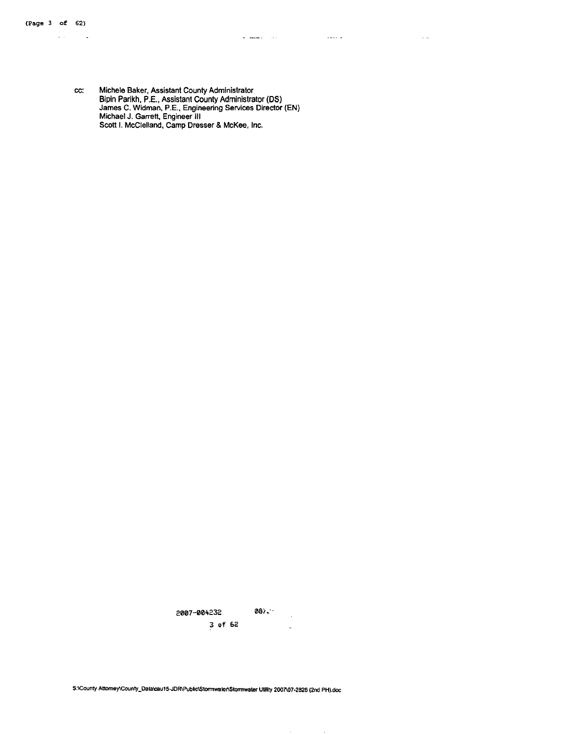$\omega_{\rm{eff}}$ 

l,

المناسب المستوات

المستدان

 $\sim$   $\sim$ 

 $\sim$   $\sim$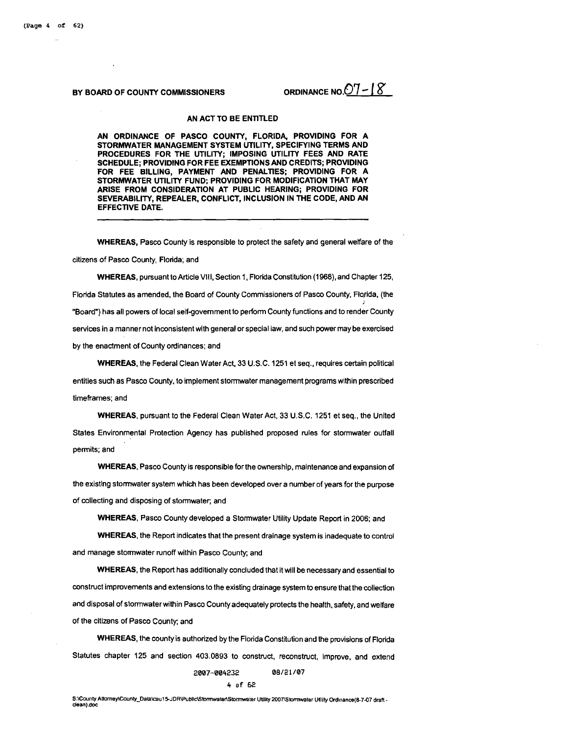ORDINANCE NO.  $07 - 18$ 

#### BY BOARD OF COUNTY COMMISSIONERS

#### AN ACT TO BE ENTITLED

AN ORDINANCE OF PASCO COUNTY, FLORIDA, PROVIDING FOR A STORMWATER MANAGEMENT SYSTEM UTILITY, SPECIFYING TERMS AND PROCEDURES FOR THE UTILITY; IMPOSING UTILITY FEES AND RATE SCHEDULE; PROVIDING FOR FEE EXEMPTIONSAND CREDITS; PROVIDING FOR FEE BILLING, PAYMENT AND PENALTIES; PROVIDING FOR A STORMWATER UTILITY FUND; PROVIDING FOR MODIFICATION THAT MAY ARISE FROM CONSIDERATION AT PUBLIC HEARING; PROVIDING FOR SEVERABILITY, REPEALER, CONFLICT, INCLUSION IN THE CODE, AND AN EFFECTIVE DATE.

WHEREAS, Pasco County is responsible to protect the safety and general wetfare of the

citizens of Pasco County, Florida; and

WHEREAS, pursuant to Article VIII, Section 1, Florida Constitution (1968), and Chapter 125, Florida Statutes as amended, the Board of County Commissioners of Pasco County, Florida, (the "Board") has all powers of local self-government to perform County functions and to render County services in a manner not inconsistent with general or special law, and such power may be exercised by the enactment of County ordinances; and

WHEREAS, the Federal Clean Water Act. 33 U.S.C. 1251 et seq., requires certain political entities such as Pasco County, to implement stormwater management programs within prescribed timeframes; and

WHEREAS, pursuant to the Federal Clean Water Act, 33 U.S.C. 1251 et seq., the United States Environmental Protection Agency has published proposed rules for stormwater outfall permits; and

WHEREAS. Pasco County is responsible for the ownership, maintenance and expansion of the existing stormwater system which has been developed over a number of years for the purpose of collecting and disposing of stormwater, and

WHEREAS, Pasco County developed a Stormwater Utility Update Report in 2006; and

WHEREAS, the Report indicates that the present drainage system is inadequate to control and manage stormwater runoff within Pasco County; and

WHEREAS, the Report has additionally concluded that it will be necessary and essential to construct improvements and extensions to the existing drainage system to ensure that the collection and disposal of stormwater within Pasco County adequately protects the health, safety, and welfare of the citizens of Pasco County; and

WHEREAS, the county is authorized by the Florida Constitution and the provisions of Florida Statutes chapter 125 and section 403.0893 to construct, reconstruct, improve, and extend

#### **2007-004232 08/21/07**

#### **4 of bi?**

S:\County Attorney\County\_Data\cau15-JDR\Public\Stomwater\Stormwater Utility 2007\Stormwater Utility Ordinance(8-7-07 draft -<br>dean).doc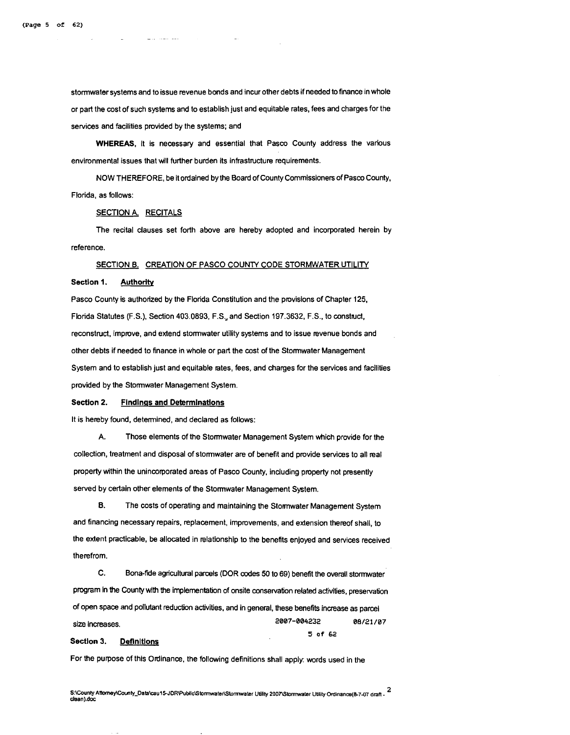stormwater systems and to issue revenue bonds and incur other debts if needed to finance in whole or part the cost of such systems and to establish just and equitable rates, fees and charges for the sewices and facilities provided by the systems; and

WHEREAS, it is necessary and essential that Pasco County address the various environmental issues that will further burden its infrastructure requirements.

NOW THEREFORE, be it ordained by the Board of County Commissioners of Pasco County, Florida, as follows:

#### SECTION A. RECITALS

The recital clauses set forth above are hereby adopted and incorporated herein by reference.

#### SECTION B. CREATION OF PASCO COUNTY CODE STORMWATER UTILITY

#### Sectlon 1. Authority

Pasco County is authorized by the Florida Constitution and the provisions of Chapter 125, Florida Statutes (F.S.), Section 403.0893, F.S., and Section 197.3632, F.S., to construct, reconstruct, improve, and extend stomwater utility systems and to issue revenue bonds and other debts if needed to finance in whole or part the cost of the Stomwater Management System and to establish just and equitable rates, fees, and charges for the services and facilities provided by the Stomwater Management System.

#### Section 2. Findings and Determinations

It is hereby found, determined, and declared as follows:

A. Those elements of the Stomwater Management System which provide for the collection, treatment and disposal of stomwater are of benefit and provide services to all real property within the unincorporated areas of Pasco County, including property not presently sewed by certain other elements of the Stomwater Management System.

**8.** The costs of operating and maintaining the Stormwater Management System and financing necessary repairs, replacement, improvements, and extension thereof shall, to the extent practicable, be allocated in relationship to the benefits enjoyed and services received therefrom.

C. Bona-tide agricultural parcels (DOR codes **50** to 69) benefit the overall stomwater program in the County with the implementation of onsite consewation related activities, preservation of open space and pollutant reduction activities, and in general, these benefits increase as parcel 2007-004232 08/21/07 size Increases. 5 of 62

#### Section 3. Definitions

For the purpose of this Ordinance, the following definitions shall apply: words used in the

S:\County Attorney\County\_Data\cau15-JDR\Public\Stormwater\Stormwater Utility 2007\Stormwater Utility Ordinance(8-7-07 draft - <sup>2</sup> dean).doc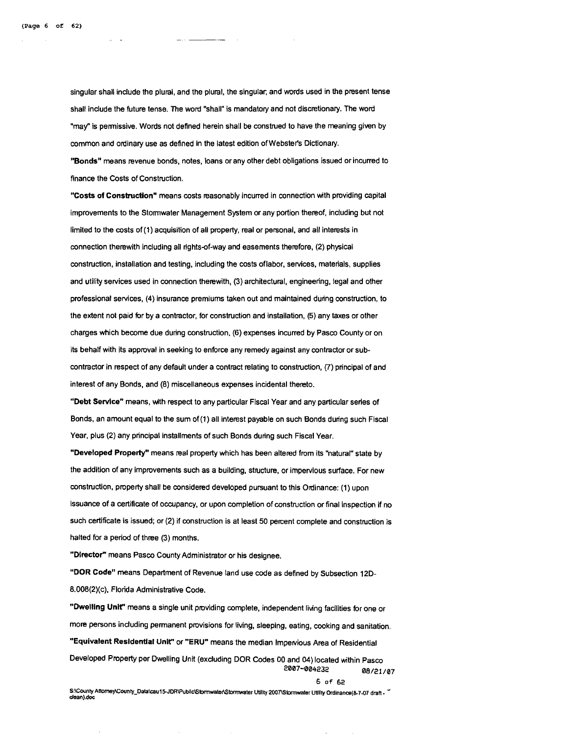singular shall include the plural, and the plural, the singular, and words used in the present tense shall include the future tense. The word "shall" is mandatory and not discretionary. The word "may" is permissive. Words not defined herein shall be construed to have the meaning given by common and ordinary use as defined in the latest edition of Webster's Dictionary.

**"Bonds"** means revenue bonds, notes, loans or any other debt obligations issued or incurred to finance the Costs of Construction.

**"Costs of Construction"** means costs reasonably incurred in connection with providing capital improvements to the Stormwater Management System or any portion thereof, including but not limited to the costs of (1) acquisition of all property, real or personal, and all interests in connection therewith including all rights-of-way and easements therefore, (2) physical construction, installation and testing, including the costs oflabor, services, materials, supplies and utility services used in connection therewith, (3) architectural, engineering, legal and other professional services, (4) insurance premiums taken out and maintained during construction, to the extent not paid for by a contractor, for construction and installation, (5) any taxes or other charges which become due during construction. (6) expenses incurred by Pasco County or on its behalf with its approval in seeking to enforce any remedy against any contractor or subcontractor in respect of any default under a contract relating to construction, (7) principal of and interest of any Bonds, and (8) miscellaneous expenses incidental thereto.

"Debt Service" means, with respect to any particular Fiscal Year and any particular series of Bonds, an amount equal to the sum of (1) all interest payable on such Bonds during such Fiscal Year, plus (2) any principal installments of such Bonds during such Fiscal Year.

**"Developed Property"** means real property which has been altered from its "natural" state by the addition of any improvements such as a building, structure, or impervious surface. For new construction, property shall be considered developed pursuant to this Ordinance: (1) upon issuance of a certificate of occupancy, or upon completion of construction or final inspection if no such certificate is issued; or (2) if construction is at least 50 percent complete and construction is halted for a period of three (3) months.

**"Director"** means Pasco County Administrator or his designee.

**"DOR Code"** means Department of Revenue land use code as defined by Subsection 12D-8.008(2)(c), Florida Administrative Code.

**"Dwelling UnH'** means a single unit pmviding complete, independent living facilities for one or more persons including permanent provisions for living, sleeping, eating, cooking and sanitation. **"Equivalent Residential Unit" or "ERU"** means the median Impervious Area of Residential Developed Property per Dwelling Unit (excluding DOR Codes 00 and 04) located within Pasco **2007-004232 08/21/07** 

**6 of 62** 

S:\County Attorney\County\_Data\cau15-JDR\Public\Stormwater\Stormwater Utility 2007\Stormwater Utility Ordinance(8-7-07 draft dean).doc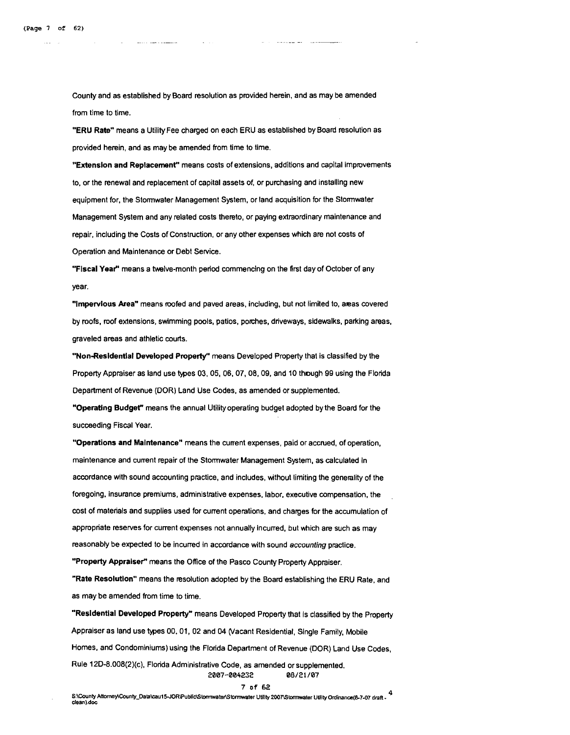County and as established by Board resolution as provided herein, and as may be amended from time to time.

"ERU Rate" means a Utility Fee charged on each ERU as established by Board resolution as provided herein, and as may be amended from time to time.

"Extension and Replacement" means costs of extensions, additions and capital improvements to, or the renewal and replacement of capital assets of, or purchasing and installing new equipment for, the Stormwater Management System, or land acquisition for the Stormwater Management System and any related costs thereto, or paying extraordinary maintenance and repair, including the Costs of Construction, or any other expenses which are not costs of Operation and Maintenance or Debt Service.

"Fiscal Year" means a twelve-month period commencing on the first day of October of any year.

"Impervlous Area" means roofed and paved areas, including, but not limited to, areas covered by roofs, roof extensions, swimming pools, patios, porches, driveways, sidewalks, parking areas, graveled areas and athletic courts.

"Non-Resldentlal Developed Property" means Developed Property that is classified by the Property Appraiser as land use types 03, 05, 06, 07, 08, 09, and 10 though 99 using the Florida Department of Revenue (DOR) Land Use Codes, as amended or supplemented.

"Operating Budget" means the annual Utility operating budget adopted by the Board for the succeeding Fiscal Year.

"Operations and Malntenance" means the current expenses, paid or accrued, of operation, maintenance and current repair of the Stormwater Management System, as calculated in accordance with sound accounting practice, and includes, without limiting the generality of the foregoing, insurance premiums, administrative expenses, labor, executive compensation, the cost of materials and supplies used for current operations, and charges for the accumulation of appropriate reserves for current expenses not annually Incurred, but which are such as may reasonably be expected to be incurred in accordance with sound accounting practice.

"Property Appraiser" means the Office of the Pasco County Property Appraiser.

"Rate Resolution" means the resolution adopted by the Board establishing the ERU Rate, and as may be amended from time to time.

"Resldentlal Developed Property" means Developed Property that Is classified by the Property Appraiser as land use types 00, 01, 02 and 04 (Vacant Residential, Single Family, Mobile Homes, and Condominiums) using the Florida Department of Revenue (DOR) Land Use Codes, Rule 120-8.008(2)(c), Florida Administrative Code, as amended or supplemented. **2007-004232 08/21/07**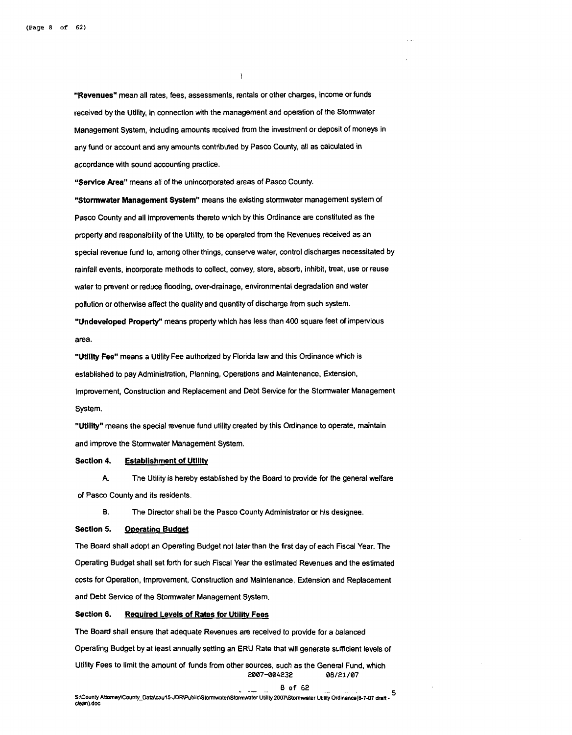"Revenues" mean all rates, fees, assessments, rentals or other charges, income or funds received by the Utility, in connection with the management and operation of the Stormwater Management System, including amounts received from the investment or deposit of moneys in any fund or account and any amounts contributed by Pasco County, all as calculated in accordance with sound accounting pmctice.

 $\mathbf{I}$ 

"Service Area" means all of the unincorporated areas of Pasco County.

"Stormwater Management System" means the existing stormwater management system of Pasco County and all improvements thereto which by this Ordinance are constituted as the property and responsibility of the Utility, to be operated from the Revenues received as an special revenue fund to, among other things, conserve water, control discharges necessitated by rainfall events, incorporate methods to collect, convey, store, absorb, inhibit, treat, use or reuse water to prevent or reduce flooding, over-drainage, environmental degradation and water pollution or otherwise affect the quality and quantity of discharge from such system. "Undeveloped Property" means property which has less than 400 square feet of impervious

area.

"Utility Fee" means a Utility Fee authorized by Florida law and this Ordinance which is established to pay Administration, Planning, Operations and Maintenance, Extension, Improvement, Conshuction and Replacement and Debt Service for the Stormwater Management System.

"Utility" means the special revenue fund utility created by this Ordinance to operate, maintain and improve the Stormwater Management System.

#### Section 4. Establishment of Utility

**A.** The Utility is hereby established by the Board to pmvide for the general welfare of Pasco County and its residents.

**6.** The Director shall be the Pasco County Administrator or hls designee.

#### Section 5. **Operating Budget**

The Board shall adopt an Operating Budget not later than the first day of each Fiscal Year. The Operating Budget shall set forth for such Fiscal Year the estimated Revenues and the estimated costs for Operation, Impmvement, Construction and Maintenance, Extension and Replacement and Debt Service of the Stormwater Management System.

#### Section 6. Required Levels of Rates for Utility Fees

The Board shall ensure that adequate Revenues are received to provide for a balanced Operating Budget by at least annually setting an ERU Rate that will generate sufficient levels of Utility Fees to limit the amount of funds from other sources, such as the General Fund, which 2007-004232 08/21/07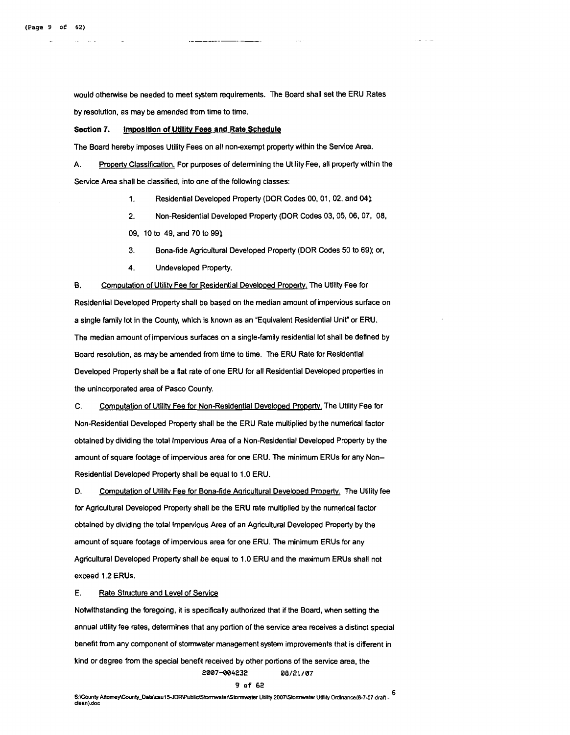would otherwise be needed to meet system requirements. The Board shall set the ERU Rates by resolution, as may be amended from time to time.

#### Section 7. Imposition of Utility Fees and Rate Schedule

The Board hereby imposes Utility Fees on all nonexempt property within the Service Area.

A. Property Classification. For purposes of determining the Utility Fee, all property within the Service Area shall be classified, into one of the following classes:

1. Residential Developed Property (DOR Codes 00,01,02, and 04)

**2.** Non-Residential Developed Property (DOR Codes 03,05,06, 07, 08,

09, 10 to 49, and 70 to **99)** 

- 3. Bona-fide Agricultural Developed Property (DOR Codes 50 to 69); or,
- 4. Undeveloped Property.

B. Computation of Utility Fee for Residential Developed Property. The Utility Fee for Residential Developed Property shall be based on the median amount of impervious surface on a single family lot In the County, which is known as an "Equivalent Residential Unit" or ERU. The median amount of impervious surfaces on a single-family residential lot shall be defined by Board resolution, as may be amended from time to time. The ERU Rate for Residential Developed Property shall be a flat rate of one ERU for all Residential Developed properties in the unincorporated area of Pasco County.

C. Computation of Utility Fee for Non-Residential Developed Property. The Utility Fee for Non-Residential Developed Property shall be the ERU Rate multiplied by the numerical factor obtained by dividing the total Impervious Area of a Non-Residential Developed Property by the amount of square footage of impervious area for one ERU. The minimum ERUs for any Non-Residential Developed Property shall be equal to 1.0 ERU.

D. Computation of Utility Fee for Bona-fide Agricultural Developed Property. The Utility fee for Agricultural Developed Property shall be the ERU rate multiplied by the numerical factor obtained by dividing the total Impervious Area of an Agricultural Developed Property by the amount of square footage of impervious area for one ERU. The minimum ERUs for any Agricultural Developed Property shall be equal to 1.0 ERU and the maximum ERUs shall not exceed 1.2 ERUs.

#### E. Rate Structure and Level of Service

Notwithstanding the foregoing, it is specifically authorized that if the Board, when setting the annual utility fee rates, determines that any portion of the service area receives a distinct special benefit from any component of stormwater management system improvements that is different in kind or degree from the special benefit received by other portions of the service area, the **2007-004232 08/21/07** 

#### **9 of 62**

5: County Attorney/County\_Data\cau15-JDR\Public\Stormwater\Stormwater Utility 2007\Stormwater Utility Ordinance(8-7-07 draft dean).doc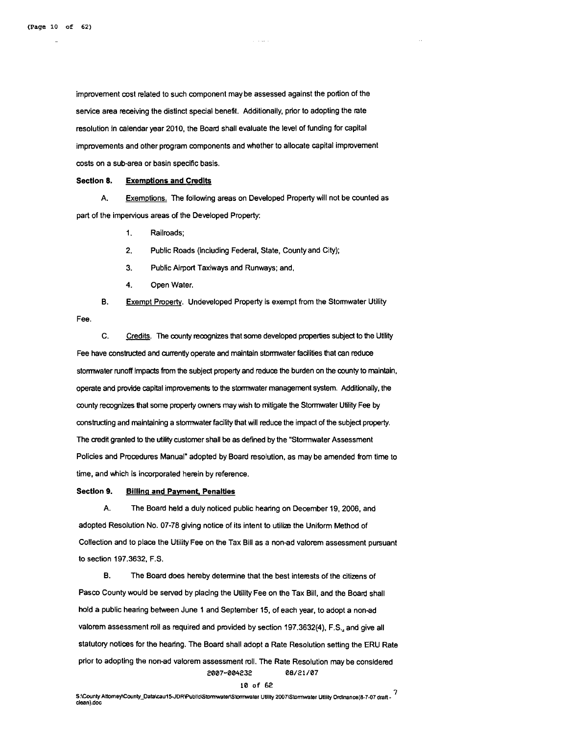improvement cost related to such component may be assessed against the portion of the service area receiving the distinct special benefit. Additionally, prior to adopting the rate resolution in calendar year 2010, the Board shall evaluate the level of funding for capital improvements and other program components and whether to allocate capital improvement costs on a sub-area or basin specific basis.

#### Section 8. Exemptions and Credits

A. Exemptions. The following areas on Developed Property will not be counted as part of the impervious areas of the Developed Property:

1. Railroads;

2. Public Roads (including Federal, State, Countyand City);

3. Public Airport Taxiways and Runways; and,

4. Open Water.

B. Exempt Property. Undeveloped Property is exempt from the Stormwater Utility

Fee.

C. Credits. The county recognizes that some developed properties subject to the Utility Fee have constructed and currently operate and maintain stormwater facilities that can reduce stormwater runoff Impacts from the subject property and reduce the burden on the county to maintain, operate and provide capital improvements to the stormwater management system. Additionally, the county recognizes that some property owners may wish to mitigate the Stormwater Utility Fee by constructing and maintaining a stomwater facility that will reduce the impact of the subject property. The credit granted to the **utility** customer shall be as defined by the "Stormwater Assessment Policies and Procedures Manual" adopted by Board resolution, as may be amended from time to time, and which is incorporated herein by reference.

#### Section 9. Billing and Payment, Penalties

A. The Board held a duly noticed public hearing on December 19.2006, and adopted Resolution No. 07-78 giving notice of its intent to utilize the Uniform Method of Collection and to place the Utility Fee on the Tax Bill as a non-ad valorem assessment pursuant to section 197.3632. F.S.

B. The Board does hereby determine that the best interests of the citizens of Pasco County would be served by placing the Utility Fee on the Tax Bill, and the Board shall hold a public hearing between June 1 and September 15, of each year, to adopt a non-ad valorem assessment roll as required and provided by section 197.3632(4). F.S., and give all statutory notices for the hearing. The Board shall adopt a Rate Resolution setting the ERU Rate prior to adopting the non-ad valorem assessment roll. The Rate Resolution may be considered **2007-004232 08/21/07** 

**<sup>10</sup>of <sup>62</sup>**" S:\County **Amme~County-Data\caul5JDR'PublicEtomter\S~ter** Utility **2007\Slormwater** UUlity Ordlnanm(8-7-07 draft - **<sup>I</sup>** clean).doc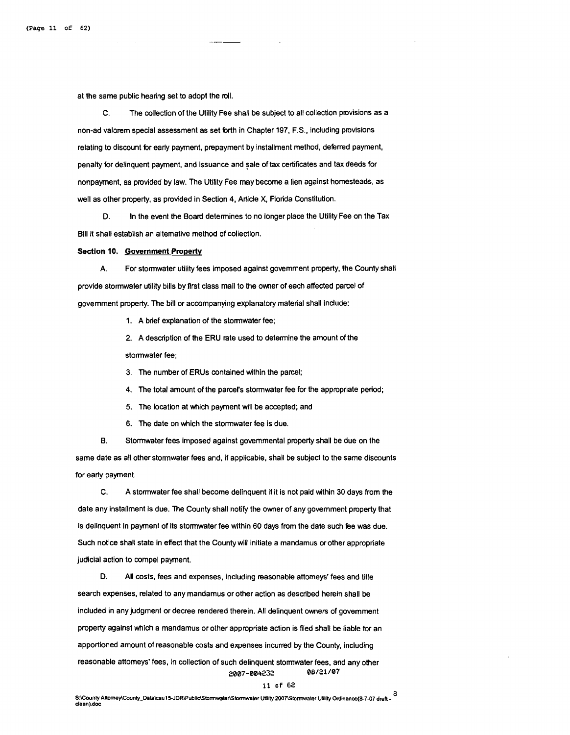at the same public hearing set to adopt the roll.

C. The collection of the Utility Fee shall be subject to all collection provisions as a non-ad valorem special assessment as set forth in Chapter 197, F.S., including pmvisions relating to discount for early payment, prepayment by installment method, deferred payment, penalty for delinquent payment, and issuance and sale of tax certificates and tax deeds for nonpayment, as provided by law. The Utility Fee may become a lien against homesteads, as well as other property, as provided in Section 4, Article X, Florida Constitution.

**D.** In the event the Board determines to no longer place the Utility Fee on the Tax Bill it shall establish an altemative method of collection.

#### **Sectlon** 10. **Government Property**

A. For stormwater utility fees imposed agalnst government property, the County shall provide stormwater utility bills by first class mail to the ower of each affected parcel of government property. The bill or accompanying explanatory material shall indude:

1. A brief explanation of the stormwater fee;

2. A description of the ERU rate used to determine the amount of the stormwater fee;

3. The number of ERUs contained within the parcel;

4. The total amount of the parcel's stormwater fee for the appropriate period;

5. The location at which payment will be accepted; and

6. The date on which the stormwater fee is due.

**8.** Stormwater fees imposed against governmental property shall be due on the same date as all other stormwater fees and, if applicable, shall be subject to the same discounts for early payment.

C. A stormwater fee shall become delinquent if it is not paid within 30 days from the date any installment is due. The County shall notify the owner of any government property that is delinquent in payment of its stormwater fee within 60 days from the date such dee was due. Such notice shall state in effect that the County will initiate a mandamus or other appropriate judicial action to compel payment.

**D.** All costs, fees and expenses, including reasonable attorneys' fees and title search expenses, related to any mandamus or other action as described herein shall be included in any judgment or decree rendered therein. All delinquent owners of government property against which a mandamus or other appropriate action is filed shall be liable for an apportioned amount of reasonable costs and expenses incurred by the County, including reasonable attomeys' fees, in collection of such delinquent stormwater fees, and any other **2007-004232 08/21/07** 

#### **11 of 62**

**S:\CwntyAltomey\County-Data\caul5JDR\Public\Sbrmwabr\S~ter** UVlity **ZM)'T\Sbmabr** Utility **Ordlnance(8-7-07 draft** - **8 dean).doc**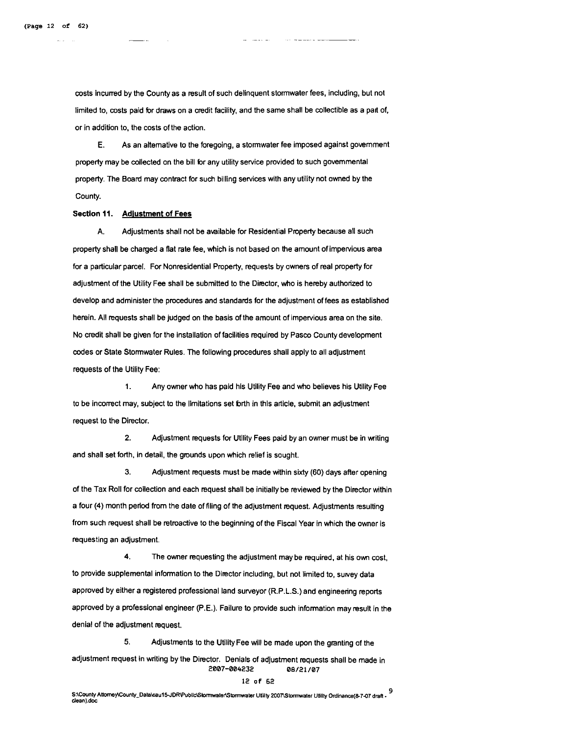costs incurred by the County as a result of such delinquent stonwater fees, including, but not limited to, costs paid for draws on a credit facility, and the same shall be collectible as a part of, or in addition to, the costs of the action.

E. As an alternative to the foregoing, a stonwater fee imposed against government property may be collected on the bill for any utility service provided to such governmental property. The Board may contract for such billing services with any utility not owned by the County.

#### Section 11. Adjustment of Fees

A. Adjustments shall not be awilabie for Residential Property because all such property shali be charged a flat rate fee, which is not based on the amount of impervious area for a particular parcel. For Nonresidential Property, requests by owners of real property for adjustment of the Utility Fee shall be submitted to the Director, who is hereby authorized to develop and administer the procedures and standards for the adjustment of fees as established herein. All requests shall be judged on the basis of the amount of impervious area on the site. No credit shall be given for the installation of facilities required by Pasco County development codes or State Stormwater Rules. The following procedures shali apply to all adjustment requests of the Utility Fee:

**1.** Any owner who has paid his Utility Fee and who believes his Utility Fee to be incorrect may, subject to the limitations set brth in this article, submit an adjustment request to the Director.

**2.** Adjustment requests for Utility Fees paid by an owner must be in witing and shall set forth, in detail, the grounds upon which relief is sought.

3. Adjustment requests must be made within sixty (60) days after opening of the Tax Roll for collection and each request shall be initially be reviewed by the Director within a four (4) month period from the date of filing of the adjustment request. Adjustments resulting from such request shall be retroactive to the beginning of the Fiscal Year in which the owner is requesting an adjustment.

4. The owner requesting the adjustment may be required, at his own cost, to provide supplemental information to the Director including, but not limited to, survey data approved by either a registered professional land surveyor (R.P.L.S.) and engineering reports approved by a professional englneer (P.E.). Failure to provide such information may result in the denial of the adjustment request.

**5.** Adjustments to the Utility Fee will be made upon the granting of the adjustment request in writing by the Director. Denials of adjustment requests shall be made in **2007-004232 08/21/07** 

#### **12 of 62**

9.<br>S:\County Attorney\County\_Data\cau15-JDR\Public\Stormwater\Stormwater Utility 2007\Stormwater Utility Ordinance(8-7-07 draft clean).doc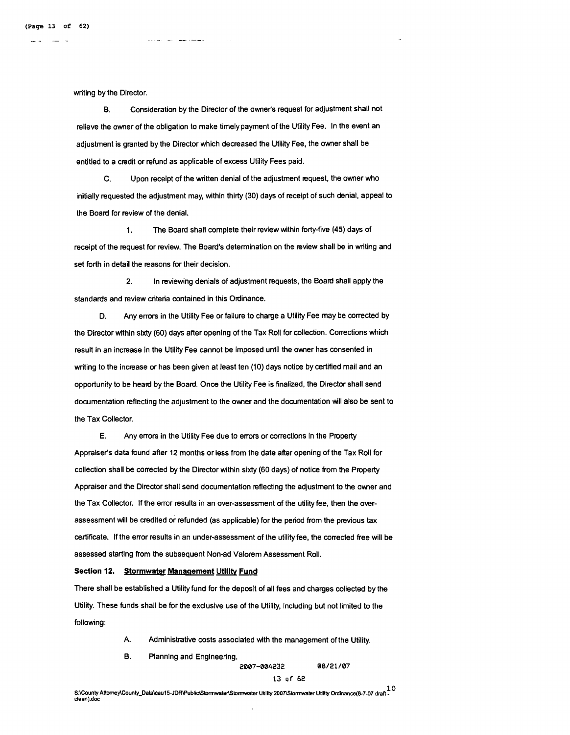writing by the Director.

B. Consideration by the Director of the ownefs request for adjustment shall not relieve the omer of the obligation to make timely payment of the Utility Fee. In the event an adjustment is granted by the Director which decreased the Utility Fee, the owner shall be entitled to a credit or refund as applicable of excess Utility Fees paid.

C. Upon receipt of the written denial of the adjustment pequest, the owner who initially requested the adjustment may, within thirty (30) days of receipt of such denial, appeal to the Board for review of the denial.

**1.** The Board shall complete their review within forty-five (45) days of receipt of the request for review. The Board's determination on the review shall be in writing and set forth in detail the reasons for their decision.

**2.** In reviewing denials of adjustment requests, the Board shall apply the standards and review criteria contained in this Ordinance.

D. Any errors in the Utility Fee or failure to charge a Utility Fee may be corrected by the Director within sixty (60) days after opening of the Tax Roll for collection. Corrections which result in an increase in the Utility Fee cannot be imposed until the omer has consented in writing to the increase or has been given at least ten (10) days notice by certified mail and an opportunity to be heard by the Board. Once the Utility Fee is finalized, the Director shall send documentation reflecting the adjustment to the owner and the documentation will also be sent to the Tax Collector.

E. Any errors in the Utility Fee due to errors or corrections in the Property Appraiser's data found after 12 months or less from the date after opening of the Tax Roll for collection shall be corrected by the Director within sixty (60 days) of notice from the Property Appraiser and the Director shall send documentation reflecting the adjustment to the owner and the Tax Collector. If the error results in an over-assessment of the utility fee, then the overassessment will be credited or refunded (as applicable) for the period from the previous tax certificate. If the error results in an under-assessment of the utilityfee, the corrected free will be assessed starting from the subsequent Nonad Valorem Assessment Roll.

#### Section 12. Stormwater Management Utility Fund

There shall be established a Utility fund for the deposit of all fees and charges collected by the Utility. These funds shall be for the exclusive use of the Utility, Including but not limited to the following:

- A. Administrative costs associated wlth the management of the Utility.
- B. Planning and Engineering.

**2007-004232 08/21/07** 

#### **13 of 62**

S:\County Attorney\County\_Data\cau15-JDR\Public\Stormwater\Stormwater Utility 2007\Stormwater Utility Ordinance(8-7-07 draft dean).doc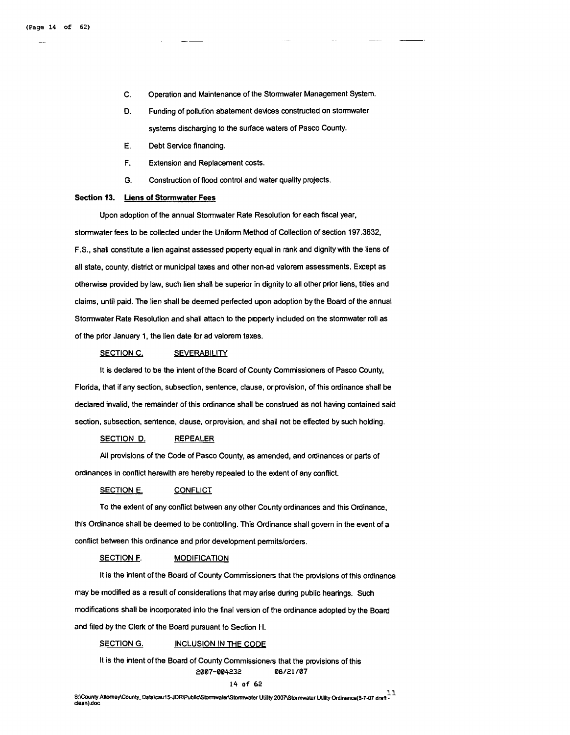- C. Operation and Maintenance of the Stomwater Management System.
- **D.** Funding of pollution abatement deuces constructed on stomwater systems discharging to the surface waters of Pasco County.
- E. Debt Service financing.
- F. Extension and Replacement costs.
- G. Construction of flood control and water quality projects.

#### **Section 13. Llens of Stormwater Fees**

Upon adoption of the annual Stormwater Rate Resolution for each fiscal year, stormwater fees to be collected under the Uniform Method of Collection of section 197.3632, F.S., shall constitute a lien against assessed poperty equal in rank and dignity with the liens of all state, county, district or municipal taxes and other non-ad valorem assessments. Except as otherwise provided by law, such lien shall be superior in dignity to all other prior liens, titles and claims, until paid. The lien shall be deemed perfected upon adoption by the Board of the annual Stormwater Rate Resolution and shall attach to the poperty included on the stormwater roll as of the prior January 1, the lien date for ad valorem taxes.

#### SECTION C. SEVERABILITY

It is declared to be the intent of the Board of County Commissioners of Pasco County, Florida, that if any section, subsection, sentence, clause, or provision, of this ordinance shall be declared invalid, the remainder of this ordinance shall be construed as not having contained said section, subsection, sentence, clause, or provision, and shall not be effected by such holding.

#### SECTION **D.** REPEALER

All provisions of the Code of Pasco County, as amended, and ordinances or parts of ordinances in conflict herewith are hereby repealed to the extent of any conflict.

#### SECTION E. CONFLICT

To the extent of any conflict between any other County ordinances and this Ordinance, this Ordinance shall be deemed to be controlling. This Ordinance shall govem in the event of a conflict between this ordinance and prior development pemitslorders.

#### **SECTION F. MODIFICATION**

It is the intent of the Board of County Commissioners that the provisions of this ordinance may be modified as a result of considerations that may arise during public hearings. Such modifications shall be incorporated into the final version of the ordinance adopted by the Board and filed by the Clerk of the Board pursuant to Section H.

#### SECTION G. INCLUSION IN THE CODE

It is the intent of the Board of County Commissioners that the provisions of this 2007-004232 08/21 /07

#### 14 of **62**

S:\County Attorney\County\_Data\cau15-JDR\Public\Stormwater\Stormwater Utility 2007\Stormwater Utility Ordinance(8-7-07 draft clean) doc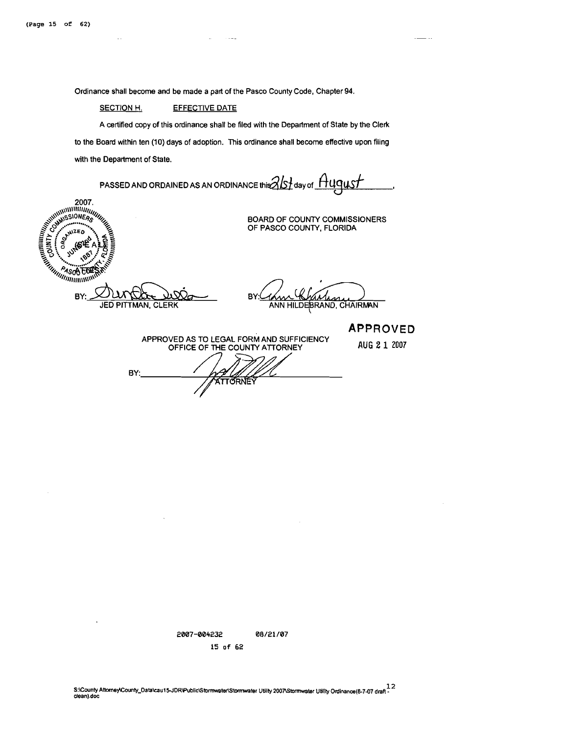$\sim$  .

Ordinance shall become and be made a part of the Pasco County Code, Chapter 94.

#### SECTION H. **EFFECTIVE DATE**

A certified copy of this ordinance shall be filed with the Department of State by the Clerk to the Board within ten (10) days of adoption. This ordinance shall become effective upon filing with the Department of State.

 $\sim -1$ 

PASSED AND ORDAINED AS AN ORDINANCE this  $21$  day of  $~\mu$ uqus  $f$ **2007.**<br>
WASHINGTON CONTROL OF CALLAGE CALLAGE CALLAGE CALLAGE CALLAGE CALLAGE CALLAGE CALLAGE CALLAGE CALLAGE CALLAGE CALLAGE CALLAGE CALLAGE CALLAGE CALLAGE CALLAGE CALLAGE CALLAGE CALLAGE CALLAGE CALLAGE CALLAGE CALLAGE BOARD OF COUNTY COMMISSIONERS OF PASCO COUNTY, FLORIDA BY: **BY** asan **JED PITTMAN, CLERK** ANN HILDEBRAND, CHAIRMAN **APPROVED**  APPROVED AS TO LEGAL FORM AND SUFFICIENCY OFFICE OF ME COUNTY AlTORNEY **AUG 2 1 <sup>2007</sup>** BY: **THE AND AND REAL** 

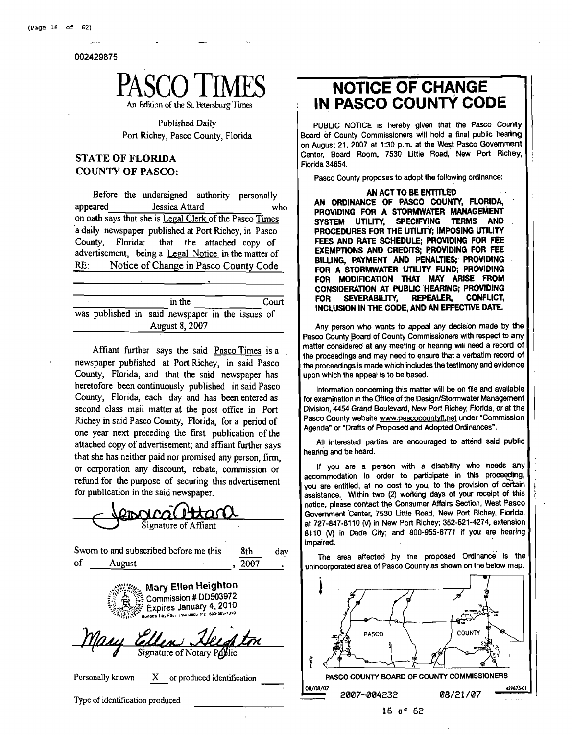002429875



Published Daily Port Richey, Pasco County, Florida

### **STATE OF FLORIDA COUNTY OF PASCO:**

Before the undersigned authority personally appeared Jessica Attard who on oath says that she is Legal Clerk of the Pasco Times a daily newspaper published at Port Richey, in Pasco County, Florida: that the attached copy of advertisement, being a Legal Notice in the matter of RE: Notice of Change in Pasco County Code

|  | in the                                           |  | Court |
|--|--------------------------------------------------|--|-------|
|  | was published in said newspaper in the issues of |  |       |
|  | August 8, 2007                                   |  |       |

Affiant firther says the said Pasco Times is a newspaper published at Port Richey, in said Pasco County, Florida, and that the said newspaper has heretofore been continuously published in said Pasco County, Florida, each day and has been entered as second class mail matter at the post office in Port Richey in said Pasco County, Florida, for a period of one year next preceding the first publication of the attached copy of advertisement; and affiant further says that she has neither paid nor promised any person, firm, or corporation any discount, rebate, commission or refund for the purpose of securing this advertisement for publication in the said newspaper.

| <u>eovical ettant</u>                                                                 |
|---------------------------------------------------------------------------------------|
| Signature of Affiant                                                                  |
| Sworn to and subscribed before me this<br>8th<br>day                                  |
| οf<br>2007<br>August                                                                  |
| Expires January 4, 2010<br>Bunged Truy Fast Insurance Inc. 800-385-7019<br>Mary Ellen |
| College Helphic<br>Signature of Notary Poplic                                         |
| Personally known<br>X or produced identification                                      |
| Type of identification produced                                                       |

# **NOTICE OF CHANGE IN PASCO COUNTY CODE**

PUBLIC NOTICE is hereby given that the Pasco County Board of County Commissioners will hold a final public hearing on August 21, 2007 at 1:30 p.m. at the West Pasco Government Center, Board Room. 7530 Little Road. New Port Richey, Florida 34654.

:

Pasco County proposes to adopt the following ordinance:

**AN ACT TO BE ENTITLED AN ORDINANCE OF PASCO COUNTY, FLORIDA, PROVIDING FOR A STORMWATER MANAGEMENT SYSTEM UTILITY,** PROCEDURES FOR THE UTILITY; IMPOSING UTILITY **FEES AND RATE SCHEDULE; PROVIDING FOR FEE EXEMPTIONS AND CREDITS; PROVlDlNG FOR FEE BILLING, PAYMENT AND PENALTIES;. PROVIDING FOR A STORMWATER UTILITY FUND; PROVIDING FOR MODIFICATION THAT MAY ARISE FROM CONSIDERATION AT PUBUC 'HEARING; PROVIDING FOR SEVERABILITY, INCLUSION IN THE CODE, AND AN EFFECTNE DATE.** 

Any person who wants to appeal any decision made by the Pasco County Board of County Commissioners with respect to any matter considered at any meeting or hearing will need a record of the proceedings and may need to ensure that a vebatim record of the proceedings is made which includes the testimony and evidence upon which the appeal is to be based.

Information concerning this matter will be on file and available for examination in the Office of the Design/Stormwater Management Division, **4454** Grand Boulevard, New Port Richey, Florida, or at the Pasco County website www.pascocountyfl.net under "Commission Agenda" or "Drafts of Proposed and Adopted Ordinances".

All interested parties are encouraged to attend said public hearing and be heard.

If you are a person with a disability who needs any accommodation in order to participate in thls proceqdjng, you are entitled, at no cost to you, to the provision of certain assistance. Within two (2) working days of your receipt of this notice, please contact the Consumer Affalrs Section, West Pasco Government Center, 7530 Little Road, New Port Richey, Florida, at 727-847-8110 (V) in New Port Richey; 352-521-4274, extension 8110 (V) in Dade City; and 800-955-8771 if you **are** hearing impaired.

The area affected by the proposed ordinance' is the unincorporated **area** of Pasco County as shown on the below map.

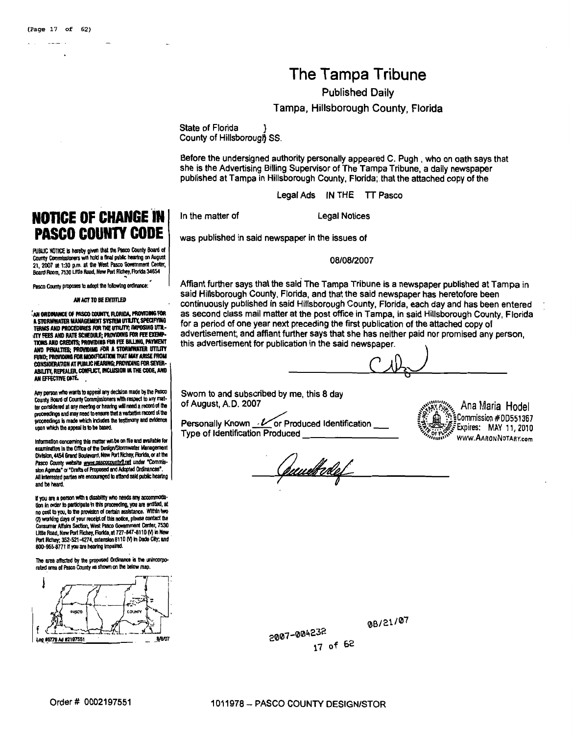# The Tampa Tribune

Published Daily

Tampa, Hillsborough County, Florida

State of Florida County of Hillsborough SS.

Before the undersigned authority personally appeared C. Pugh , who on oath says that she is the Advertising Billing Supervisor of The Tampa Tribune, a daily newspaper published at Tampa in Hillsborough County, Florida; that the attached copy of the

Legal Ads IN THE TT Pasco

In the matter of Legal Notices

was published in said newspaper in the issues of

08/08/2007

Affiant further says that the said The Tampa Tribune is a newspaper published at Tampa in said Hillsborough County, Florida, and that the said newspaper has heretofore been continuously published in said Hillsborough County, Florida, each day and has been entered <sup>1</sup> as second class mail matter at the post office in Tampa, in said Hillsborough County, Florida for a period of one year next preceding the first publication of the attached copy of advertisement; and affiant further says that she has neither paid nor promised any person, this advertisement for publication in the said newspaper. **<sup>1</sup>**

Sworn to and subscribed by me, this 8 day of August, A.D. 2007

Type of Identification Produced

J **#DD551367** Personally Known. or Produced Identification -

<u>(puuelkobel</u>

**PASCO COUNTY CODE PUBLIC NOTICE is hereby given that the Pasco County Board of** 

**NOTICE OF CHANGE IN** 

county **Cunmlslmsn wll hold a** fhal **pblk** ttedq **m Augrst 21,** *m)7* at **1:30 p.m. al** Ihs **West** RscD **Gaammarl Center,**  Board Room, 7530 Little Road, New Port Richey, Florida 34654

Pasco County proposes to adopt the following ordinance:

**AN ACT TO BE ENTITLED** 

<sup>7</sup>AN ORDINANCE OF PASCO COUNTY, FLORIDA, PROVIDING FOR<br>A STORMWATER MANAGEMENT SYSTEM UTILITY, SPECIFYING **TERMS AND PROCEDURES FOR THE UTILITY; IMPOSING UTIL-** $\lambda$ my fees and rate schedule; providing for fee exempry Fees and rate schedule; providing for fee exemp-<br>Tons and Credits; providing for fee billing, payment<br>And Penalties; providing for a stormwater utility **FUND; PROVIDING FOR MODIFICATION THAT MAY ARISE FROM** ABlUlV, **REPW5l,** CC4FlRX **MCUlSlOR W THE CODE, AWD ANEFRCrmfMTL** , I

Any person who wants to appeal any decision made by the Pasco County Board of County Commissioners with respect to any matter considered at any meeting or hearing will need a record of the proceedings and may need to ensure that a verbatim record of the<br>proceedings is made which includes the testimony and evidence upon which the appeal is to be based.

**lnfmnallon mncemlng** lhk **mabwill bo m Rle and nalllble for**  examination in the Office of the Design/Stormwater Management Division, 4454 Grand Boulevard, New Port Richey, Florida, or at the Pasco County website www.pascocountyfl.net under "Commission Agenda<sup>®</sup> or "Drafts of Proposed and Adopted Ordinances". **.<br>Il interested parties are encouraged to attend sald public hearing**  $\vert$ **<br>ind be heard.** 

If you are a person with a disability who needs any accommodation in order to participate in this proceeding, you are entitled, at no cost to you, to the provision of certain assistance. Within two (2) working days of your recept of this notice, please contact the 2) working days of your recelor of this notice, please contact the<br>ionsumer Affairs Section, West Pasco Government Center, 7530<br>Ittle Road, New Port Richey, Florida, at 727-847-8110 (V) in New Fort Richay; 352-521-4274, extension 8110 (V) in Dade City; and 800-955-8771 if you are hearing impaired.

The area affected by the proposed Ordinance is the unincorporated area of Pasco County as shown on the below map.



08/21/07

2007-004232 17 of 62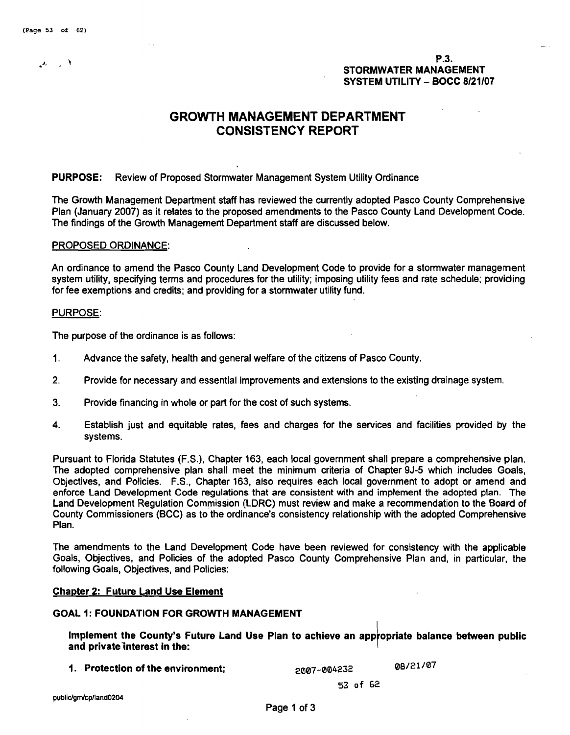e.<br>P.3. **P.3.**<br>STORMWATER MANAGE STORMWATER MANAGEMENT SYSTEM UTILITY - BOCC **<sup>8121107</sup>**

## **GROWTH MANAGEMENT DEPARTMENT CONSISTENCY REPORT**

### PURPOSE: Review of Proposed Stormwater Management System Utility Ordinance

The Growth Management Department staff has reviewed the currently adopted Pasco County Comprehensive Plan (January 2007) as it relates to the proposed amendments to the Pasco County Land Development Code. The findings of the Growth Management Department staff are discussed below.

#### PROPOSED ORDINANCE:

An ordinance to amend the Pasco County Land Development Code to provide for a storrnwater management system utility, specifying terms and procedures for the utility; imposing utility fees and rate schedule; providing for fee exemptions and credits; and providing for a storrnwater utility fund.

#### PURPOSE:

The purpose of the ordinance is as follows:

- **1.** Advance the safety, health and general welfare of the citizens of Pasco County.
- **2.** Provide for necessary and essential improvements and extensions to the existing drainage system.
- 3. Provide financing in whole or part for the cost of such systems.
- **4.** Establish just and equitable rates, fees and charges for the services and facilities provided by the systems.

Pursuant to Florida Statutes (F.S.), Chapter 163, each local government shall prepare a comprehensive plan. The adopted comprehensive plan shall meet the minimum criteria of Chapter 9J-5 which includes Goals, Objectives, and Policies. F.S., Chapter 163, also requires each local government to adopt or amend and enforce Land Development Code regulations that are consistent with and implement the adopted plan. The Land Development Regulation Commission (LDRC) must review and make a recommendation to the Board of County Commissioners (BCC) as to the ordinance's consistency relationship with the adopted Comprehensive Plan.

The amendments to the Land Development Code have been reviewed for consistency with the applicable Goals, Objectives, and Policies of the adopted Pasco County Comprehensive Plan and, in particular, the following Goals, Objectives, and Policies:

#### Chapter **2:** Future Land Use Element

#### GOAL **I:** FOUNDATION FOR GROWH MANAGEMENT

Implement the County's Future Land Use Plan to achieve an appropriate balance between public<br>and private interest in the:

1. Protection of the environment;  $2007-004232$  08/21/07

**53 of 62** 

public/gm/cp/land0204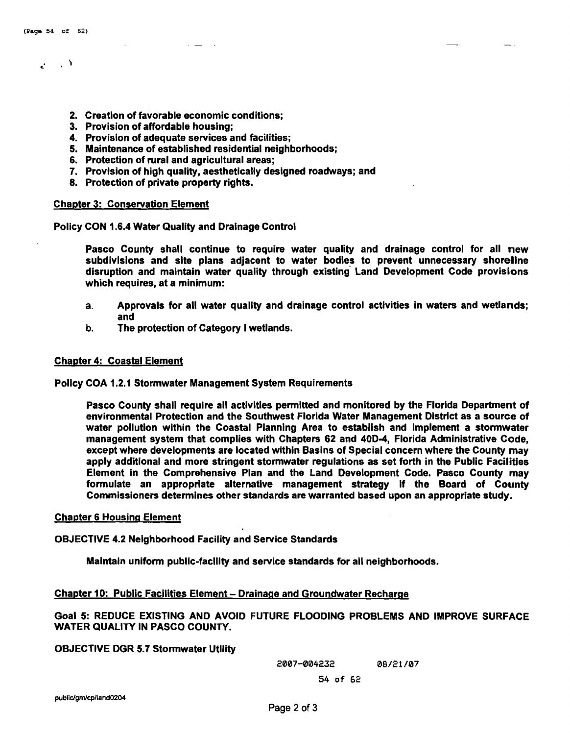# $\mathcal{L} \rightarrow \mathcal{N}$

- 2. Creation of favorable economic conditions;
- 3. Provision of affordable housing;
- 4. Provision of adequate services and facilities;
- 5. Maintenance of established residential neighborhoods;
- 6. Protection of rural and agricultural areas;
- 7. Provision of high quality, aesthetically designed roadways; and
- 8. Protection of private property rights.

#### Chapter 3: Conservation Element

Policy CON 1.6.4 Water Quality and Drainage Control

Pasco County shall continue to require water quality and drainage control for all new subdivislons and site plans adjacent to water bodies to prevent unnecessary shoreline disruption and maintain water quality through existing' Land Development Code provisions which requires, at a minimum:

- **a.** Approvals for all water quality and drainage control activities in waters and wetlands; and
- **b.** The protection of Category I wetlands.

#### Chapter 4: Coastal Element

Policy COA 1.2.1 Stormwater Management System Requirements

Pasco County shall require all activities permitted and monitored by the Florida Department of environmental Protection and the Southwest Florida Water Management District as a source of water pollution within the Coastal Planning Area to establish and implement a stormwater management system that complies with Chapters 62 and 40D4, Florida Administrative Code, except where developments are located within Basins of Special concern where the County may apply additional and more stringent stormwater regulations as set forth in the Public Facilities Element in the Comprehensive Plan and the Land Development Code. Pasco County may formulate an appropriate alternative management strategy if the Board of County Commissioners determines other standards are warranted based upon an appropriate study.

#### Chapter 6 Housing Element

OBJECTIVE 4.2 Neighborhood Facility and Service Standards

Maintain uniform public-faclllty and service standards for all neighborhoods.

#### Chapter 10: Public Facilities Element - Drainage and Groundwater Recharge

Goal 5: REDUCE EXISTING AND AVOID FUTURE FLOODING PROBLEMS AND IMPROVE SURFACE WATER QUALITY IN PASCO COUNTY.

#### OBJECTIVE DGR 5.7 Stormwater Utility

**2007-004232 08/21 /07 54 of 62**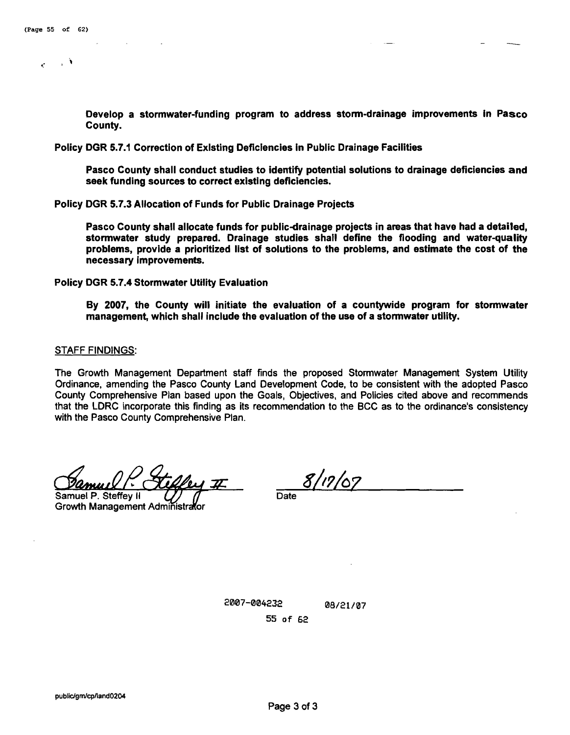J.

 $\mathcal{L}$ 

Develop a stormwater-funding program to address storm-drainage improvements in Pasco County.

Policy DGR 5.7.1 Correction of Exlsting Deficiencies in Public Drainage Facilities

Pasco County shall conduct studies to identify potential solutions to drainage deficiencies and seek funding sources to correct existing deficiencies.

Policy DGR 5.7.3 Allocation of Funds for Public Drainage Projects

Pasco County shall allocate funds for public-drainage projects in areas that have had a detailed, stormwater study prepared. Drainage studies shall define the flooding and water-quality problems, provide a prioritized list of solutions to the problems, and estimate the cost of the necessary improvements.

Policy DGR 5.7.4 Stormwater Utility Evaluation

By 2007, the County will initiate the evaluation of a countywide program for stormwater management, which shall include the evaluation of the use of a stormwater utility.

#### STAFF FINDINGS:

The Growth Management Department staff finds the proposed Stormwater Management System Utility Ordinance, amending the Pasco County Land Oevelopment Code, to be consistent with the adopted Pasco County Comprehensive Plan based upon the Goals, Objectives, and Policies cited above and recommends that the LDRC incorporate this finding as its recommendation to the BCC as to the ordinance's consistency with the Pasco County Comprehensive Plan.

Samuel P. Steffey II

Growth Management Administrator

**Date**  8//?/07

2007-004232 08/21/07 55 of 62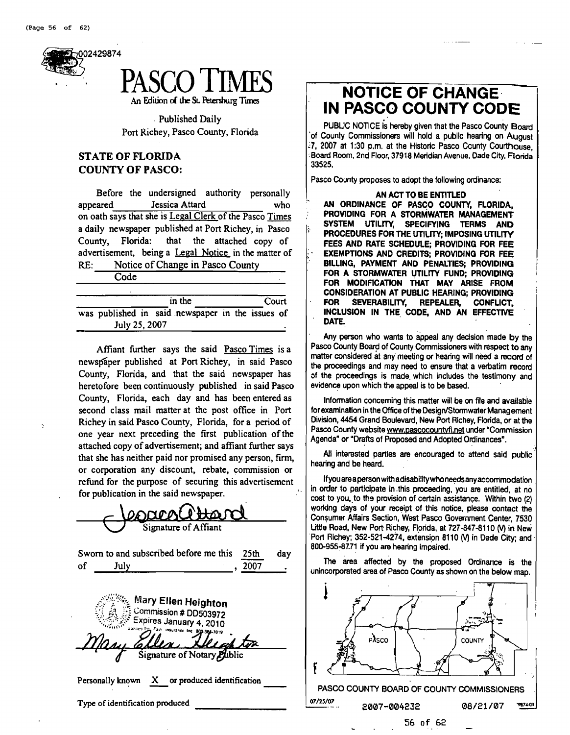



Published Daily Port Richey, Pasco County, Florida

### **STATE OF FLORIDA COUNTY OF PASCO:**

Before the undersigned authority personally appeared Jessica Attard who on oath says that she is Legal Clerk of the Pasco Times a daily newspaper published at Port Richey, in Pasco County, Florida: that the attached copy of advertisement, being a Legal Notice in the matter of RE: Notice of Change in Pasco County

Code

|               |  | in the                                           |  | Court |  |
|---------------|--|--------------------------------------------------|--|-------|--|
|               |  | was published in said newspaper in the issues of |  |       |  |
| July 25, 2007 |  |                                                  |  |       |  |

Affiant further says the said Pasco Times is a newspaper published at Port Richey, in said Pasco County, Florida, and that the said newspaper has heretofore been continuously published in said Pasco County, Florida, each day and has been entered as second class mail matter at the post office in Port Richey in said Pasco County, Florida, for a period of one year next preceding the first publication of the attached copy of advertisement; and affiant further says that she has neither paid nor promised any person, firm, or corporation any discount, rebate, commission or refund for the purpose of securing this advertisement for publication in the said newspaper.

| for publication in the said newspaper.                                                     |
|--------------------------------------------------------------------------------------------|
| $\Omega$                                                                                   |
| Signature of Affiant                                                                       |
| Sworn to and subscribed before me this<br>25th<br>day                                      |
| 2007<br>of<br>July                                                                         |
| Mary Ellen Heighton<br>Commission # DD503972<br>Expires January 4, 2010<br><u>Decaptor</u> |
| Signature of Notary Public                                                                 |
| Personally known X or produced identification                                              |
| Type of identification produced                                                            |

# **NOTICE OF CHANGE. IN PASCO COUNTY CODE**

PUBLIC NOTICE is hereby given that the Pasco County Board 'of County Commissioners will hold a public hearing on August **:7, 2007** at **1:30** p.m. at the Historic Pasco Ccunty Courthouse, :Board Room, 2nd Floor, **37918** Meridian Avenue, Oade City, Florida **33525.** 

Pasco County proposes to adopt the following ordinance:

**IN ACT TO BE ENTITLED<br>AN ORDINANCE OF PASCO COUNTY, FLORIDA,** , **PROVIDING FOR A STORMWATER MANAGEMENT SYSTEM UTILITY, SPECIFYING TERMS AND PROCEDURES FOR THE UTILITY; IMPOSING UTILITY FEES AND RATE SCHEDULE; PROVIDING FOR FEE EXEMPTIONS AND CREDITS; PROVlDlNG FOR FEE**  FOR A STORMWATER UTILITY FUND; PROVIDING FOR MODIFICATION THAT MAY ARISE FROM **CONSIDERATION AT PUBLIC HEARING; PROVIDING FOR SEVERABILITY, REPEALER, CONFLICT, INCLUSION IN THE, CODE, AND AN EFFECTIVE**  ' **DATE.,** I

Any person who wants to appeal any decision made by the Pasco County Board of County Commissioners with respect to any matter considered at any meeting or hearing will need a record of the proceedings and may need to ensure that a verbatim record of the proceedings is made. which includes the testimony and evidence upon which the appeal is to be based.

Information concerning this matter will be on file and available for examination in the Office of the Design/Stormwater Management Division, 4454 Grand Boulevard, New Port Richey, Florida, or at the Pasco County website www.pascocountyfl.net under "Commission Agenda" or "Drafts of Proposed and Adopted Ordinances".

All interested parties **are** encouraged to attend said public hearing and be heard.

If you are a person with a disability who needs any accommodation in order to participate in .thls proceeding, you **are** entitled, at no cost to you, to the provision of certain assistance. Within two (2) working days of your receipt of this notice, please contact the Consumer Affairs Section, West Pasco Government Center. **7530**  Little Road, New Port Richey, Florida, at **727-847-81 10 0** in New 'Port Richey, **352-521-4274,** extension **8110** (V) in Dade City; and **800-955:87.71** if you **are** hearing impaired.

The area affected by the proposed Ordinance is the unincorporated area of Pasco County as shown on the below map.

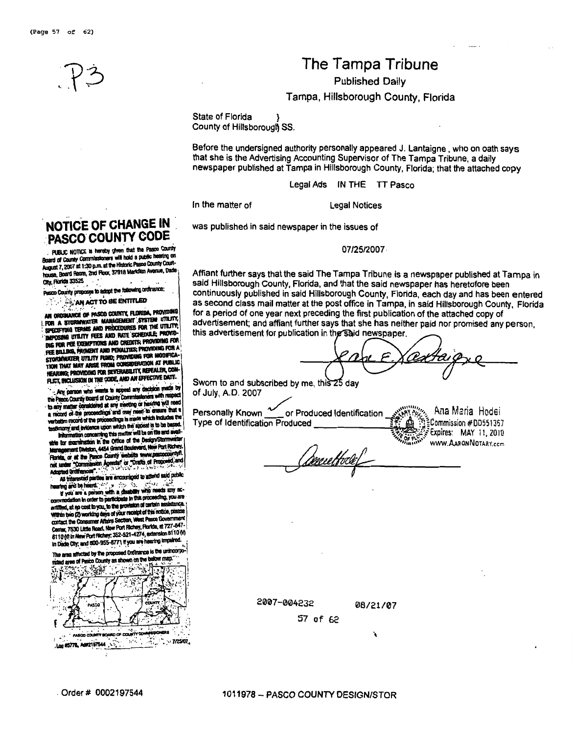# **The Tampa Tribune**

**Published Daily** 

**Tampa, Hillsborough County, Florida** 

State of Florida County of Hillsborough SS.

Before the undersigned authority personally appeared J. Lantaigne , who on oath says that she is the Advertising Accounting Supervisor of The Tampa Tribune, a daily newspaper published at Tampa in Hillsborough County, Florida; that the attached copy

Legal Ads IN THE **TT** Pasco

In the matter of The Legal Notices

was published in said newspaper in the issues of

07/25/2007

Aftiant further says that the said The Tampa Tribune is a newspaper published at Tampa in said Hillsborough County, Florida, and that the said newspaper has heretofore been continuously published in said Hillsborough County, Florida, each day and has been entered as second class mail matter at the post office in Tampa, in said Hillsborough County, Florida for a period of one year next preceding the first publication of the attached copy of advertisement; and affiant further says that she has neither paid nor promised any person, this advertisement for publication in the said newspaper.

Sworn to and subscribed by of July, A.D. **2007**   $\frac{1}{2}$ <br> $\frac{1}{2}$ 

Sworn to and subscribed by me, this 25 day<br>of July, A.D. 2007<br>Personally Known <u>form or Produced Identification experience</u> Ana Maria Hodei<br>Type of Identification Produced **Personally Known 2007** or Produced Identification **Cornel And Maria Hodei**<br>Type of Identification Produced **ires** , **OF wc** .' **MAY** i !, **<sup>20</sup>**I <sup>e</sup> WWW.AARONNOTARY.ccm rne Hoc

**NOTICE OF CHANGE IN** : **PASCO COUNTY CODE** 

Board of County Commissioners will hold a public heating on Board of County Commissioners wis rule is paper non-record-<br>August 7, 2007 at 1:30 p.m. at the Historic Passo County Court-August 7, 2007 at 1:30 p.m. at the Historic Pasco County County<br>house, Board Room, 2nd Floor, 37918 Merkillan Avenue, Dade City, Florida 33525

Pasco County proposes to adopt the following ordinance:

AN ACT TO BE ENTITLED

AN ORDINANCE OF PASCO COUNTY, FLORIDA, PROVIDING AN ORDINANCE OF PASCO COUNTY, PUNKING, PROVIDENCE<br>FOR A STORMWATER MANAGEMENT (SYSTEM UTILITY) For a stormwater management system utility.<br>Specifying terms and procedures for the utility,<br>Specifying terms and parts system is provid-POSING UTILITY FEES AND RATE SCHEDULE; PROVID DIE FOR FEE EXEMPTIONS AND CREDITS; PROVIDING FOR THE BILLING, PAYMENT AND PENALTIES; PROVIDING FOR A FEE BILLING, PAYMENT AND PENALTIES; PROVIDING FOR MODIFICA-<br>STORMAKATER UTILITY FUND; PROVIDING FOR MODIFICA-<br>TION THAT MAY ARISE FROM CONSIDERATION AT PUBLIC TION THAT MAY ARESE HIVM WASHERATON AT VEHICLE. FLICT, INCLUSION IN THE CODE, AND AN EFFECTIVE DATE.

Any person who wents to appeal any decision made by the Pasco County Board of County Committee deners with respec First property of County Commissioners with respect of these county Board of County Commissioners with read to the many matter considered in the mean of the shows that a theory is made which includes the mean that a record stim record or the processings is make appeal to be be mation concerning this matter will be on the and aw

Information concerning this matter will be design/Stormwa agement Division, 4454 Grand Boulevard, New Port Richey Florida, or at the Pasco County website www.pascocou Portda, or at the Pasco County weder www.passour.com<br>net under "Commission Agenda" or "Drafts of Proposed, and<br>Adopted Ordinances".

pred Urunances .<br>All interested parties are encouraged to attend said public

re a person with a disability who needs any ac-<br>If you are a person with a disability who needs any ac-<br>imodation in order to participate in this proceeding, you are anca entitled, at no cost to you, to the provision or certain assessed<br>Within two (2) working days of your necesit of this notice, pla<br>Contact the Consumer Afraira Section, West Pasco Governm<br>Contact 7530 Limia Board, Maw Port contact the Consumer Affairs Section, west result current in the Center, 7630 Little Road, New Port Richery, Florida, at 727-847-Center, 7530 Little Hosid, Rew Fort Nicholz, extension 8110 (V)<br>8110 (V) in New Port Richey, 352-521-4274, extension 8110 (V) In Dade City, and 800-955-8771 If you are hearing impaired.

The area affected by the proposed Ordinance is the unincorpo rated area of Pasco County as shown on the below map. 海岸 ્રેસ કે એક્



2007-004232

08/21/07

ŕ

57 of 62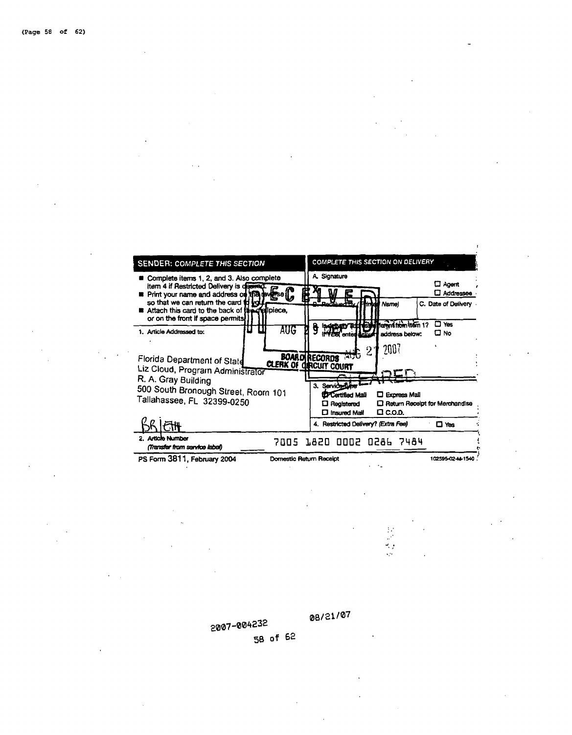

2007-004232 58 of 62 08/21/07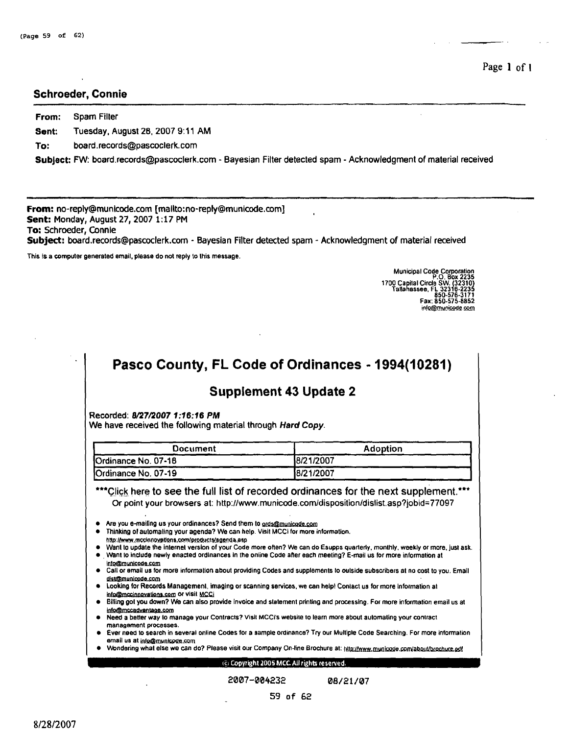#### **Schroeder, Connie**

**From: Spam** Filter **Sent:** Tuesday, August 28, 2007 9:11 AM

**To: board.records@pascoclerk.com** 

**SubJect: FW:** board.records@pascoclerk.com - Bayesian Filter detected spam - Acknowledgment of material received

**From:** no-reply@rnunicode.com **[mailto:no-reply@municode.com] Sent:** Monday, August 27,2007 **1:17** PM **To:** Schroeder, Connie **Subject:** board.records@pascoclerk.com - Bayesian Filter detected spam - Acknowledgment of material received

This is a computer generated email, please do not reply to this message.

Municipal Code Corporation P.O. Box **<sup>2235</sup> 1700** Ca ilal Circle SW. **32310**  ~alla!assee. **FL 32348-2233**  Tallahassee, FL 32316<br>850-576 Fax: **850-575-8052**  in!o@municode.com

# <sup>I</sup>**Pasco County, FL Code of Ordinances** - **1994(10281)** <sup>I</sup>

## **Supplement 43 Update 2**

Recorded: **8/27/2007** 1 **;16:16** PM

We have received the following material through Hard Copy.

| Document            | <b>Adoption</b> |
|---------------------|-----------------|
| Ordinance No. 07-18 | 18/21/2007      |
| Ordinance No. 07-19 | 8/21/2007       |

\*\*\*Click here to see the full list of recorded ordinances for the next supplement.\*\*\* Or point your browsers at: **http://www.municode.comldisposition/dislist.asp?jobid=77097** 

Are you e-mailing us your ordinances? Send them to gros@municode.com

- Thinking ol automaling your agenda? We can help. Visil MCCi for more informatlon.
- http://www.mccinnoyatlons.com/products/agenda.asp
- Want lo update the inlernel version of your Code more often? We can do Esupps quarterly, monthly, weekly or more, jusl ask. . Want lo indude newly enacled ordlnances in the online Code afler each meeting? E-mail us for more information at
- info@municode.com
- Call or email us for more informatlon about providing Codes and supplements lo outside subscribers at no cost to you. Email dist@municode.com
- Looking for Records Management, imaging or scanning services, we can help! Contact us for more information at info@mccinnovations.com Or Visit MCCi
- 1 Billing got **you** down? We can also provide invoice and statement prlntlng and processing. For more information email us at info@mccadvantage.com

Need a better way to manage your Contracts? Visil MCCi's websile to learn more about automating your contract management processes.

2007-004232

- 1 Ever need to search in several online Codes for a sample ordinance? **Try** our Multiple Code Searching. For more information email us at info@municode.com
- Wondering what else we can do? Please visit our Company On-line Brochure at: http://www.municode.com/about/brochure.pdf

#### (c) Copyright 2005 MCC All rights reserved.

08/21/07

8/28/2007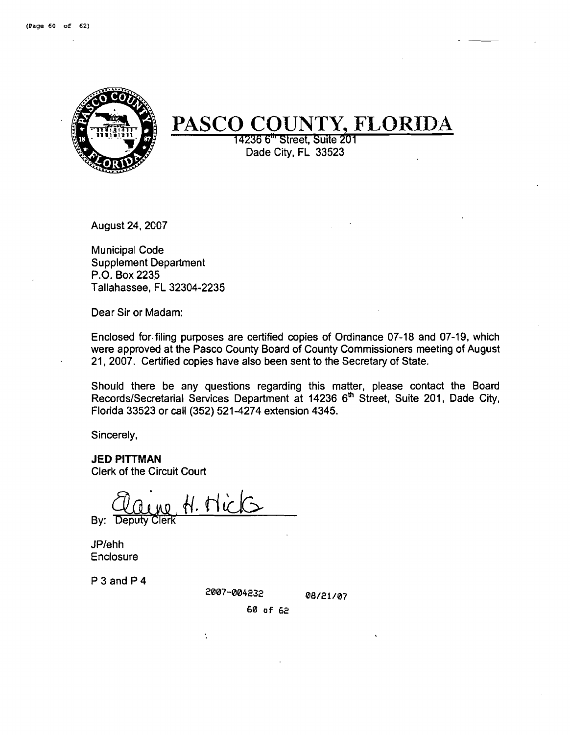

# **PASCO COUNTY, FLORIDA**

<sup>14236</sup>**6'** Street, Suite **<sup>201</sup>** Dade City, FL 33523

August 24,2007

Municipal Code Supplement Department P.O. Box 2235 Tallahassee, FL 32304-2235

Dear Sir or Madam:

Enclosed for.filing purposes are certified copies of Ordinance 07-18 and 07-19, which were approved at the Pasco County Board of County Commissioners meeting of August 21, 2007. Certified copies have also been sent to the Secretary of State.

Should there be any questions regarding this matter, please contact the Board Records/Secretarial Services Department at 14236 6<sup>th</sup> Street, Suite 201, Dade City, Florida 33523 or call (352) 521 -4274 extension 4345.

Sincerely,

**JED PITTMAN** Clerk of the Circuit Court

By: Deputy Clerk *Hick* 

Ŷ,

JPIehh Enclosure

P 3 and P 4

2007-004232

08/21/07

60 of 62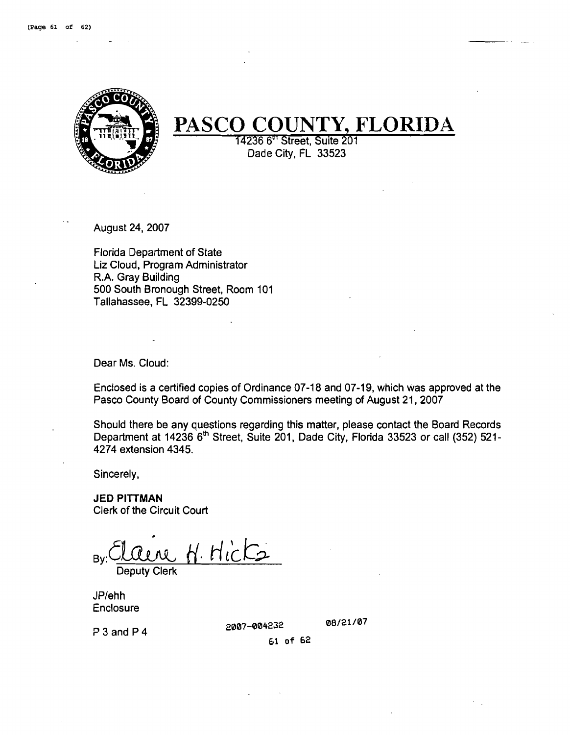. .



# **PASCO COUNTY, FLORIDA**

14236 6<sup>th</sup> Street, Suite 201 Dade City, FL 33523

August 24,2007

Florida Department of State Liz Cloud, Program Administrator R.A. Gray Building 500 South Bronough Street, Room 101 Tallahassee, FL 32399-0250

Dear Ms. Cloud:

Enclosed is a certified copies of Ordinance 07-18 and 07-19, which was approved at the Pasco County Board of County Commissioners meeting of August 21, 2007

Should there be any questions regarding this matter, please contact the Board Records Department at 14236 6<sup>th</sup> Street, Suite 201, Dade City, Florida 33523 or call (352) 521-4274 extension 4345.

Sincerely,

JED **PITTMAN**  Clerk of the Circuit Court

By: Claire H. Hicks

Deputy Clerk

JPlehh Enclosure

2007-004232

08/21/07

P 3 and P 4

61 of 62